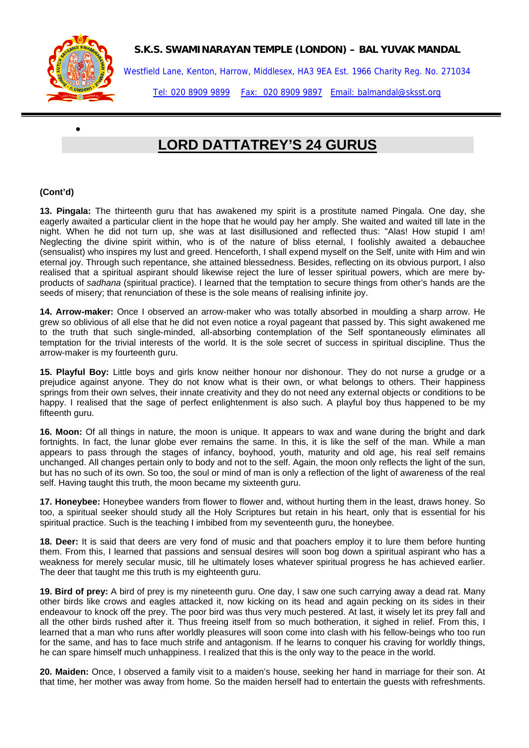

•

## **S.K.S. SWAMINARAYAN TEMPLE (LONDON) – BAL YUVAK MANDAL**

Westfield Lane, Kenton, Harrow, Middlesex, HA3 9EA Est. 1966 Charity Reg. No. 271034

Tel: 020 8909 9899 Fax: 020 8909 9897 Email: balmandal@sksst.org

## **LORD DATTATREY'S 24 GURUS**

## **(Cont'd)**

**13. Pingala:** The thirteenth guru that has awakened my spirit is a prostitute named Pingala. One day, she eagerly awaited a particular client in the hope that he would pay her amply. She waited and waited till late in the night. When he did not turn up, she was at last disillusioned and reflected thus: "Alas! How stupid I am! Neglecting the divine spirit within, who is of the nature of bliss eternal, I foolishly awaited a debauchee (sensualist) who inspires my lust and greed. Henceforth, I shall expend myself on the Self, unite with Him and win eternal joy. Through such repentance, she attained blessedness. Besides, reflecting on its obvious purport, I also realised that a spiritual aspirant should likewise reject the lure of lesser spiritual powers, which are mere byproducts of *sadhana* (spiritual practice). I learned that the temptation to secure things from other's hands are the seeds of misery; that renunciation of these is the sole means of realising infinite joy.

**14. Arrow-maker:** Once I observed an arrow-maker who was totally absorbed in moulding a sharp arrow. He grew so oblivious of all else that he did not even notice a royal pageant that passed by. This sight awakened me to the truth that such single-minded, all-absorbing contemplation of the Self spontaneously eliminates all temptation for the trivial interests of the world. It is the sole secret of success in spiritual discipline. Thus the arrow-maker is my fourteenth guru.

**15. Playful Boy:** Little boys and girls know neither honour nor dishonour. They do not nurse a grudge or a prejudice against anyone. They do not know what is their own, or what belongs to others. Their happiness springs from their own selves, their innate creativity and they do not need any external objects or conditions to be happy. I realised that the sage of perfect enlightenment is also such. A playful boy thus happened to be my fifteenth guru.

**16. Moon:** Of all things in nature, the moon is unique. It appears to wax and wane during the bright and dark fortnights. In fact, the lunar globe ever remains the same. In this, it is like the self of the man. While a man appears to pass through the stages of infancy, boyhood, youth, maturity and old age, his real self remains unchanged. All changes pertain only to body and not to the self. Again, the moon only reflects the light of the sun, but has no such of its own. So too, the soul or mind of man is only a reflection of the light of awareness of the real self. Having taught this truth, the moon became my sixteenth guru.

**17. Honeybee:** Honeybee wanders from flower to flower and, without hurting them in the least, draws honey. So too, a spiritual seeker should study all the Holy Scriptures but retain in his heart, only that is essential for his spiritual practice. Such is the teaching I imbibed from my seventeenth guru, the honeybee.

**18. Deer:** It is said that deers are very fond of music and that poachers employ it to lure them before hunting them. From this, I learned that passions and sensual desires will soon bog down a spiritual aspirant who has a weakness for merely secular music, till he ultimately loses whatever spiritual progress he has achieved earlier. The deer that taught me this truth is my eighteenth guru.

**19. Bird of prey:** A bird of prey is my nineteenth guru. One day, I saw one such carrying away a dead rat. Many other birds like crows and eagles attacked it, now kicking on its head and again pecking on its sides in their endeavour to knock off the prey. The poor bird was thus very much pestered. At last, it wisely let its prey fall and all the other birds rushed after it. Thus freeing itself from so much botheration, it sighed in relief. From this, I learned that a man who runs after worldly pleasures will soon come into clash with his fellow-beings who too run for the same, and has to face much strife and antagonism. If he learns to conquer his craving for worldly things, he can spare himself much unhappiness. I realized that this is the only way to the peace in the world.

**20. Maiden:** Once, I observed a family visit to a maiden's house, seeking her hand in marriage for their son. At that time, her mother was away from home. So the maiden herself had to entertain the guests with refreshments.